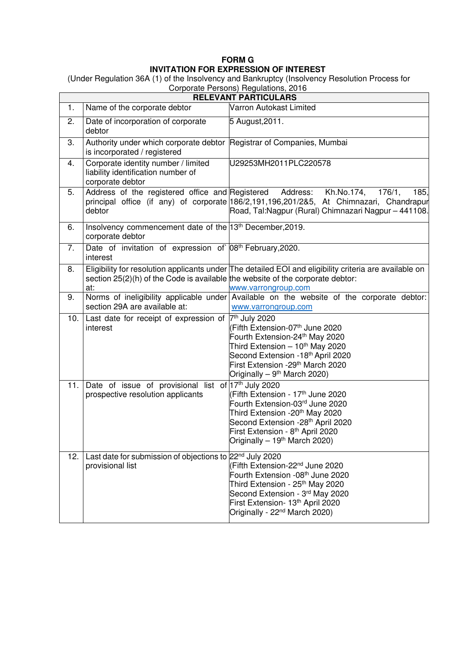## **FORM G INVITATION FOR EXPRESSION OF INTEREST**

(Under Regulation 36A (1) of the Insolvency and Bankruptcy (Insolvency Resolution Process for

| Corporate Persons) Regulations, 2016 |                                                                                                       |                                                                                                                                                                                                                                                                              |  |  |
|--------------------------------------|-------------------------------------------------------------------------------------------------------|------------------------------------------------------------------------------------------------------------------------------------------------------------------------------------------------------------------------------------------------------------------------------|--|--|
| <b>RELEVANT PARTICULARS</b>          |                                                                                                       |                                                                                                                                                                                                                                                                              |  |  |
| 1.                                   | Name of the corporate debtor                                                                          | Varron Autokast Limited                                                                                                                                                                                                                                                      |  |  |
| 2.                                   | Date of incorporation of corporate<br>debtor                                                          | 5 August, 2011.                                                                                                                                                                                                                                                              |  |  |
| 3.                                   | Authority under which corporate debtor Registrar of Companies, Mumbai<br>is incorporated / registered |                                                                                                                                                                                                                                                                              |  |  |
| 4.                                   | Corporate identity number / limited<br>liability identification number of<br>corporate debtor         | U29253MH2011PLC220578                                                                                                                                                                                                                                                        |  |  |
| 5.                                   | Address of the registered office and Registered<br>debtor                                             | Address:<br>Kh.No.174,<br>176/1.<br>185,<br>principal office (if any) of corporate 186/2,191,196,201/285, At Chimnazari, Chandrapur<br>Road, Tal:Nagpur (Rural) Chimnazari Nagpur - 441108.                                                                                  |  |  |
| 6.                                   | Insolvency commencement date of the 13th December, 2019.<br>corporate debtor                          |                                                                                                                                                                                                                                                                              |  |  |
| 7.                                   | Date of invitation of expression of 08 <sup>th</sup> February, 2020.<br>interest                      |                                                                                                                                                                                                                                                                              |  |  |
| 8.                                   | section $25(2)(h)$ of the Code is available the website of the corporate debtor:<br>at:               | Eligibility for resolution applicants under The detailed EOI and eligibility criteria are available on<br>www.varrongroup.com                                                                                                                                                |  |  |
| 9.                                   | section 29A are available at:                                                                         | Norms of ineligibility applicable under Available on the website of the corporate debtor:<br>www.varrongroup.com                                                                                                                                                             |  |  |
| 10.                                  | Last date for receipt of expression of  7th July 2020<br>interest                                     | (Fifth Extension-07th June 2020<br>Fourth Extension-24th May 2020<br>Third Extension $-10th$ May 2020<br>Second Extension -18 <sup>th</sup> April 2020<br>First Extension -29 <sup>th</sup> March 2020<br>Originally – 9 <sup>th</sup> March 2020)                           |  |  |
| 11.                                  | Date of issue of provisional list of $17th$ July 2020<br>prospective resolution applicants            | (Fifth Extension - 17 <sup>th</sup> June 2020<br>Fourth Extension-03rd June 2020<br>Third Extension -20 <sup>th</sup> May 2020<br>Second Extension -28 <sup>th</sup> April 2020<br>First Extension - 8 <sup>th</sup> April 2020<br>Originally – 19 <sup>th</sup> March 2020) |  |  |
| 12.                                  | Last date for submission of objections to 22 <sup>nd</sup> July 2020<br>provisional list              | (Fifth Extension-22 <sup>nd</sup> June 2020<br>Fourth Extension -08 <sup>th</sup> June 2020<br>Third Extension - 25 <sup>th</sup> May 2020<br>Second Extension - 3rd May 2020<br>First Extension- 13th April 2020<br>Originally - 22 <sup>nd</sup> March 2020)               |  |  |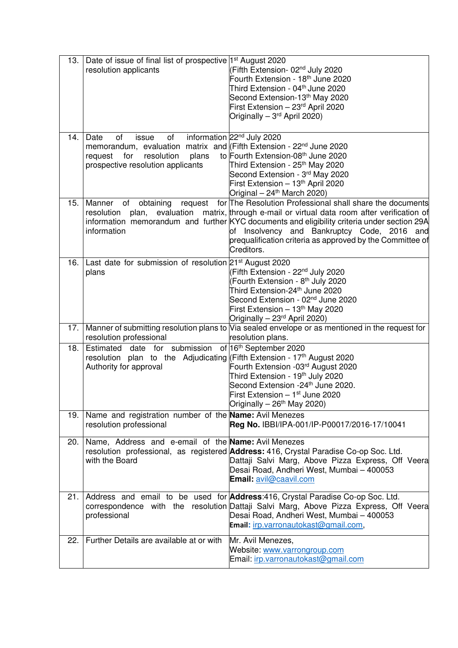| 13.   | Date of issue of final list of prospective 1 <sup>st</sup> August 2020<br>resolution applicants                                                                                            | (Fifth Extension- 02 <sup>nd</sup> July 2020<br>Fourth Extension - 18th June 2020<br>Third Extension - 04 <sup>th</sup> June 2020<br>Second Extension-13 <sup>th</sup> May 2020<br>First Extension - 23rd April 2020<br>Originally - 3 <sup>rd</sup> April 2020)                                                                                        |
|-------|--------------------------------------------------------------------------------------------------------------------------------------------------------------------------------------------|---------------------------------------------------------------------------------------------------------------------------------------------------------------------------------------------------------------------------------------------------------------------------------------------------------------------------------------------------------|
| 14.   | Date<br>of<br>of<br>issue<br>memorandum, evaluation matrix and (Fifth Extension - 22 <sup>nd</sup> June 2020<br>plans<br>resolution<br>request<br>for<br>prospective resolution applicants | information 22 <sup>nd</sup> July 2020<br>to Fourth Extension-08th June 2020<br>Third Extension - 25 <sup>th</sup> May 2020<br>Second Extension - 3rd May 2020<br>First Extension - 13th April 2020<br>Original - 24 <sup>th</sup> March 2020)                                                                                                          |
| 15.   | Manner<br>of<br>obtaining<br>request<br>plan,<br>evaluation<br>resolution<br>information                                                                                                   | for The Resolution Professional shall share the documents<br>matrix, through e-mail or virtual data room after verification of<br>information memorandum and further KYC documents and eligibility criteria under section 29A<br>of Insolvency and Bankruptcy Code, 2016 and<br>prequalification criteria as approved by the Committee of<br>Creditors. |
| 16.   | Last date for submission of resolution 21 <sup>st</sup> August 2020<br>plans                                                                                                               | (Fifth Extension - 22 <sup>nd</sup> July 2020<br>(Fourth Extension - 8 <sup>th</sup> July 2020<br>Third Extension-24 <sup>th</sup> June 2020<br>Second Extension - 02 <sup>nd</sup> June 2020<br>First Extension - 13 <sup>th</sup> May 2020<br>Originally - 23 <sup>rd</sup> April 2020)                                                               |
|       | resolution professional                                                                                                                                                                    | 17. Manner of submitting resolution plans to Via sealed envelope or as mentioned in the request for<br>resolution plans.                                                                                                                                                                                                                                |
| 18.   | Estimated date for submission<br>resolution plan to the Adjudicating (Fifth Extension - 17th August 2020<br>Authority for approval                                                         | of 16th September 2020<br>Fourth Extension -03 <sup>rd</sup> August 2020<br>Third Extension - 19 <sup>th</sup> July 2020<br>Second Extension -24 <sup>th</sup> June 2020.<br>First Extension - 1 <sup>st</sup> June 2020<br>Originally $-26$ <sup>th</sup> May 2020)                                                                                    |
| 19. I | Name and registration number of the Name: Avil Menezes<br>resolution professional                                                                                                          | Reg No. IBBI/IPA-001/IP-P00017/2016-17/10041                                                                                                                                                                                                                                                                                                            |
| 20.   | Name, Address and e-email of the Name: Avil Menezes<br>with the Board                                                                                                                      | resolution professional, as registered <b>Address:</b> 416, Crystal Paradise Co-op Soc. Ltd.<br>Dattaji Salvi Marg, Above Pizza Express, Off Veera<br>Desai Road, Andheri West, Mumbai - 400053<br>Email: avil@caavil.com                                                                                                                               |
| 21.   | professional                                                                                                                                                                               | Address and email to be used for <b>Address</b> :416, Crystal Paradise Co-op Soc. Ltd.<br>correspondence with the resolution Dattaji Salvi Marg, Above Pizza Express, Off Veera<br>Desai Road, Andheri West, Mumbai - 400053<br>Email: irp.varronautokast@gmail.com,                                                                                    |
| 22.   | Further Details are available at or with                                                                                                                                                   | Mr. Avil Menezes,<br>Website: www.varrongroup.com<br>Email: irp.varronautokast@gmail.com                                                                                                                                                                                                                                                                |